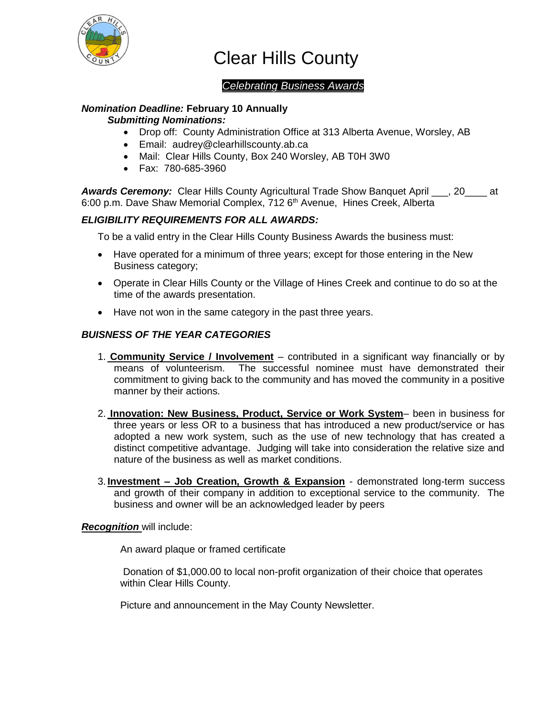

Clear Hills County

## *Celebrating Business Awards*

# *Nomination Deadline:* **February 10 Annually**

#### *Submitting Nominations:*

- Drop off: County Administration Office at 313 Alberta Avenue, Worsley, AB
- Email: audrey@clearhillscounty.ab.ca
- Mail: Clear Hills County, Box 240 Worsley, AB T0H 3W0
- Fax: 780-685-3960

*Awards Ceremony:* Clear Hills County Agricultural Trade Show Banquet April \_\_\_, 20\_\_\_\_ at 6:00 p.m. Dave Shaw Memorial Complex, 712 6<sup>th</sup> Avenue, Hines Creek, Alberta

### *ELIGIBILITY REQUIREMENTS FOR ALL AWARDS:*

To be a valid entry in the Clear Hills County Business Awards the business must:

- Have operated for a minimum of three years; except for those entering in the New Business category;
- Operate in Clear Hills County or the Village of Hines Creek and continue to do so at the time of the awards presentation.
- Have not won in the same category in the past three years.

#### *BUISNESS OF THE YEAR CATEGORIES*

- 1. **Community Service / Involvement** contributed in a significant way financially or by means of volunteerism. The successful nominee must have demonstrated their commitment to giving back to the community and has moved the community in a positive manner by their actions.
- 2. **Innovation: New Business, Product, Service or Work System***–* been in business for three years or less OR to a business that has introduced a new product/service or has adopted a new work system, such as the use of new technology that has created a distinct competitive advantage. Judging will take into consideration the relative size and nature of the business as well as market conditions.
- 3. **Investment – Job Creation, Growth & Expansion** demonstrated long-term success and growth of their company in addition to exceptional service to the community. The business and owner will be an acknowledged leader by peers

#### *Recognition* will include:

An award plaque or framed certificate

Donation of \$1,000.00 to local non-profit organization of their choice that operates within Clear Hills County.

Picture and announcement in the May County Newsletter.